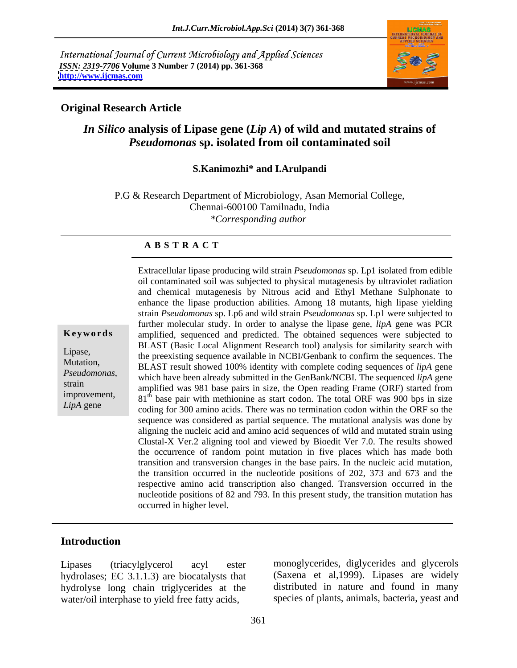International Journal of Current Microbiology and Applied Sciences *ISSN: 2319-7706* **Volume 3 Number 7 (2014) pp. 361-368 <http://www.ijcmas.com>**



### **Original Research Article**

# *In Silico* **analysis of Lipase gene (***Lip A***) of wild and mutated strains of**  *Pseudomonas* **sp. isolated from oil contaminated soil**

### **S.Kanimozhi\* and I.Arulpandi**

P.G & Research Department of Microbiology, Asan Memorial College, Chennai-600100 Tamilnadu, India *\*Corresponding author*

### **A B S T R A C T**

**Keywords** amplified, sequenced and predicted. The obtained sequences were subjected to Lipase,<br>the preexisting sequence available in NCBI/Genbank to confirm the sequences. The Mutation,<br>BLAST result showed 100% identity with complete coding sequences of *lipA* gene *Pseudomonas*,<br>
which have been already submitted in the GenBank/NCBI. The sequenced *lipA* gene<br>
strain annual was 981 base pairs in size, the Open reading Frame (OPF) started from improvement,  $81^{\text{th}}$  base pair with methionine as start codon. The total ORF was 900 bps in size *LipA* gene coding for 300 amino acids. There was no termination codon within the ORF so the oil contaminated soil was subjected to physical mutagenesis by ultraviolet radiation and chemical mutagenesis by Nitrous acid and Ethyl Methane Sulphonate to enhance the lipase production abilities. Among 18 mutants, high lipase yielding strain *Pseudomonas* sp. Lp6 and wild strain *Pseudomonas* sp. Lp1 were subjected to further molecular study. In order to analyse the lipase gene, *lipA* gene was PCR BLAST (Basic Local Alignment Research tool) analysis for similarity search with amplified was 981 base pairs in size, the Open reading Frame (ORF) started from sequence was considered as partial sequence. The mutational analysis was done by aligning the nucleic acid and amino acid sequences of wild and mutated strain using Clustal-X Ver.2 aligning tool and viewed by Bioedit Ver 7.0. The results showed the occurrence of random point mutation in five places which has made both transition and transversion changes in the base pairs. In the nucleic acid mutation, the transition occurred in the nucleotide positions of 202, 373 and 673 and the respective amino acid transcription also changed. Transversion occurred in the nucleotide positions of 82 and 793. In this present study, the transition mutation has occurred in higher level.

Extracellular lipase producing wild strain *Pseudomonas* sp. Lp1 isolated from edible

# **Introduction**

hydrolases; EC 3.1.1.3) are biocatalysts that hydrolyse long chain triglycerides at the water/oil interphase to yield free fatty acids,

Lipases (triacylglycerol acyl ester monoglycerides, diglycerides and glycerols (Saxena et al,1999). Lipases are widely distributed in nature and found in many species of plants, animals, bacteria, yeast and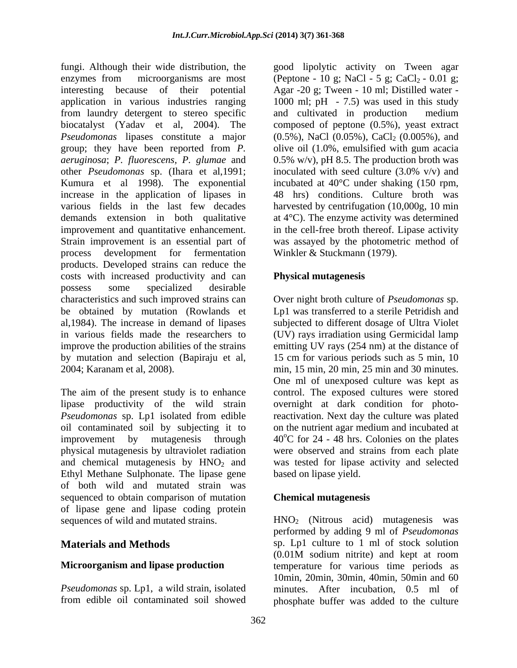fungi. Although their wide distribution, the good lipolytic activity on Tween agar enzymes from microorganisms are most (Peptone - 10 g; NaCl - 5 g; CaCl<sub>2</sub> - 0.01 g; interesting because of their potential Agar -20 g; Tween - 10 ml; Distilled water application in various industries ranging 1000 ml; pH - 7.5) was used in this study from laundry detergent to stereo specific biocatalyst (Yadav et al, 2004). The composed of peptone (0.5%), yeast extract *Pseudomonas* lipases constitute a major (0.5%), NaCl (0.05%), CaCl<sub>2</sub> (0.005%), and group; they have been reported from *P.*  olive oil (1.0%, emulsified with gum acacia *aeruginosa*; *P. fluorescens, P. glumae* and 0.5% w/v), pH 8.5. The production broth was other *Pseudomonas* sp. (Ihara et al,1991; Kumura et al 1998). The exponential incubated at 40°C under shaking (150 rpm, increase in the application of lipases in various fields in the last few decades harvested by centrifugation (10,000g, 10 min demands extension in both qualitative at 4°C). The enzyme activity was determined improvement and quantitative enhancement. Strain improvement is an essential part of was assayed by the photometric method of process development for fermentation Winkler & Stuckmann (1979). products. Developed strains can reduce the costs with increased productivity and can possess some specialized desirable characteristics and such improved strains can Over night broth culture of *Pseudomonas* sp. be obtained by mutation (Rowlands et Lp1 was transferred to a sterile Petridish and al,1984). The increase in demand of lipases subjected to different dosage of Ultra Violet in various fields made the researchers to (UV) rays irradiation using Germicidal lamp improve the production abilities of the strains emitting UV rays (254 nm) at the distance of by mutation and selection (Bapiraju et al, 15 cm for various periods such as 5 min, 10 2004; Karanam et al, 2008). min, 15 min, 20 min, 25 min and 30 minutes.

The aim of the present study is to enhance lipase productivity of the wild strain oil contaminated soil by subjecting it to Ethyl Methane Sulphonate. The lipase gene of both wild and mutated strain was sequenced to obtain comparison of mutation of lipase gene and lipase coding protein

and cultivated in production medium inoculated with seed culture (3.0% v/v) and 48 hrs) conditions. Culture broth was in the cell-free broth thereof. Lipase activity

# **Physical mutagenesis**

*Pseudomonas* sp. Lp1 isolated from edible reactivation. Next day the culture was plated improvement by mutagenesis through  $40^{\circ}$ C for 24 - 48 hrs. Colonies on the plates physical mutagenesis by ultraviolet radiation were observed and strains from each plate and chemical mutagenesis by  $HNO<sub>2</sub>$  and was tested for lipase activity and selected One ml of unexposed culture was kept as control. The exposed cultures were stored overnight at dark condition for photoon the nutrient agar medium and incubated at based on lipase yield.

# **Chemical mutagenesis**

sequences of wild and mutated strains.  $HNO<sub>2</sub>$  (Nitrous acid) mutagenesis was **Materials and Methods** sp. Lp1 culture to 1 ml of stock solution **Microorganism and lipase production** temperature for various time periods as Pseudomonas sp. Lp1, a wild strain, isolated minutes. After incubation, 0.5 ml of from edible oil contaminated soil showed phosphate buffer was added to the cultureperformed by adding 9 ml of *Pseudomonas*  (0.01M sodium nitrite) and kept at room 10min, 20min, 30min, 40min, 50min and 60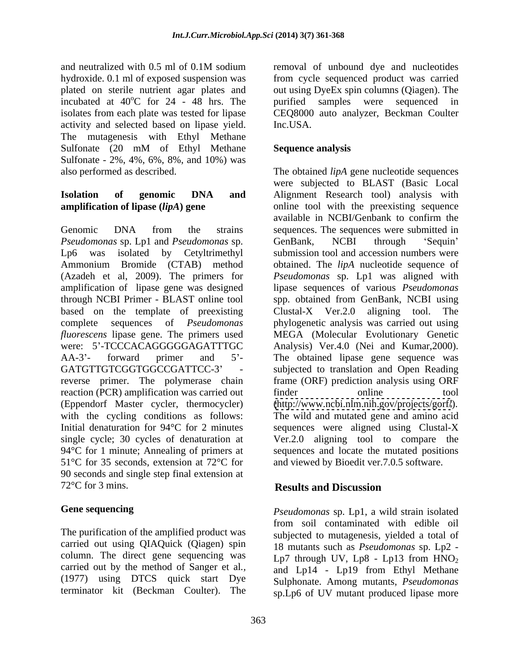incubated at  $40^{\circ}$ C for 24 - 48 hrs. The purified samples were sequenced in activity and selected based on lipase yield. The mutagenesis with Ethyl Methane Sulfonate (20 mM of Ethyl Methane Sequence analysis Sulfonate - 2%, 4%, 6%, 8%, and 10%) was

*Pseudomonas* sp. Lp1 and *Pseudomonas* sp. based on the template of preexisting Clustal-X Ver.2.0 aligning tool. The reaction (PCR) amplification was carried out finder tool online tool 51°C for 35 seconds, extension at 72°C for and viewed by Bioedit ver.7.0.5 software. 90 seconds and single step final extension at 72<sup>o</sup>C for 3 mins. **Results and Discussion** 

The purification of the amplified product was carried out using QIAQuick (Qiagen) spin column. The direct gene sequencing was (1977) using DTCS quick start Dye

and neutralized with 0.5 ml of 0.1M sodium hydroxide. 0.1 ml of exposed suspension was from cycle sequenced product was carried plated on sterile nutrient agar plates and out using DyeEx spin columns (Qiagen). The oC for 24 - 48 hrs. The purified samples were sequenced in isolates from each plate was tested for lipase CEQ8000 auto analyzer, Beckman Coulter removal of unbound dye and nucleotides Inc.USA.

### **Sequence analysis**

also performed as described. The obtained *lipA* gene nucleotide sequences **Isolation of genomic DNA and** Alignment Research tool) analysis with **amplification of lipase (***lipA***) gene** online tool with the preexisting sequence Genomic DNA from the strains sequences. The sequences were submitted in Lp6 was isolated by Cetyltrimethyl submission tool and accession numbers were Ammonium Bromide (CTAB) method obtained. The *lipA* nucleotide sequence of (Azadeh et al, 2009). The primers for *Pseudomonas* sp. Lp1 was aligned with amplification of lipase gene was designed lipase sequences of various *Pseudomonas* through NCBI Primer - BLAST online tool spp. obtained from GenBank, NCBI using complete sequences of *Pseudomonas*  phylogenetic analysis was carried out using *fluorescens* lipase gene. The primers used MEGA (Molecular Evolutionary Genetic were: 5'-TCCCACAGGGGGGAGATTTGC Analysis) Ver.4.0 (Nei and Kumar,2000). AA-3'- forward primer and 5'- The obtained lipase gene sequence was GATGTTGTCGGTGGCCGATTCC-3' - subjected to translation and Open Reading reverse primer. The polymerase chain frame (ORF) prediction analysis using ORF (Eppendorf Master cycler, thermocycler) [\(http://www.ncbi.nlm.nih.gov/projects/gorf/](http://www.ncbi.nlm.nih.gov/projects/gorf/)). with the cycling conditions as follows: The wild and mutated gene and amino acid Initial denaturation for 94°C for 2 minutes sequences were aligned using Clustal-X single cycle; 30 cycles of denaturation at Ver.2.0 aligning tool to compare the 94°C for 1 minute; Annealing of primers at sequences and locate the mutated positions were subjected to BLAST (Basic Local available in NCBI/Genbank to confirm the GenBank, NCBI through 'Sequin'  $Clustal-X$  Ver. 2.0 aligning tool. finder online tool

# **Results and Discussion**

**Gene sequencing** *Pseudomonas* sp. Lp1, a wild strain isolated carried out by the method of Sanger et al., and Lp14 - Lp19 from Ethyl Methane terminator kit (Beckman Coulter). The sp.Lp6 of UV mutant produced lipase morefrom soil contaminated with edible oil subjected to mutagenesis, yielded a total of 18 mutants such as *Pseudomonas* sp. Lp2 - Lp7 through UV, Lp8 - Lp13 from  $HNO<sub>2</sub>$ Sulphonate. Among mutants, *Pseudomonas*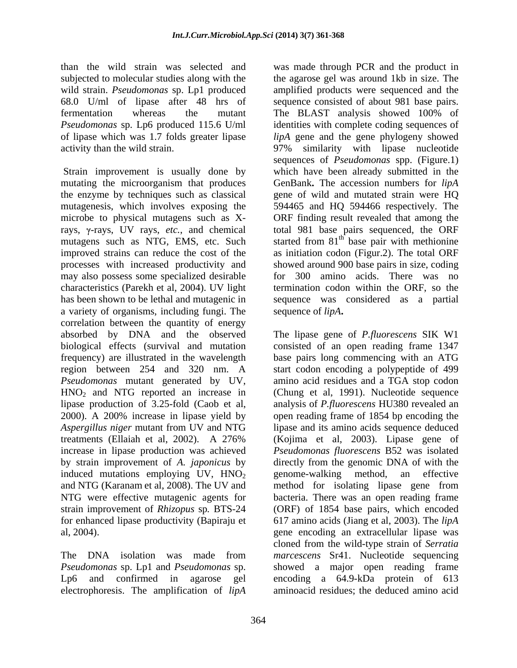wild strain. *Pseudomonas* sp. Lp1 produced fermentation whereas the mutant The BLAST analysis showed 100% of *Pseudomonas* sp. Lp6 produced 115.6 U/ml

mutating the microorganism that produces the enzyme by techniques such as classical gene of wild and mutated strain were HQ mutagenesis, which involves exposing the 594465 and HQ 594466 respectively. The microbe to physical mutagens such as X-ORF finding result revealed that among the rays,  $\gamma$ -rays, UV rays, *etc.*, and chemical total 981 base pairs sequenced, the ORF mutagens such as NTG, EMS, etc. Such started from  $81<sup>th</sup>$  base pair with methionine improved strains can reduce thecost of the as initiation codon (Figur.2). The total ORF processes with increased productivity and showed around 900 base pairs in size, coding may also possess some specialized desirable for 300 amino acids. There was no characteristics (Parekh et al, 2004). UV light has been shown to be lethal and mutagenic in sequence was considered as a partial a variety of organisms, including fungi. The correlation between the quantity of energy absorbed by DNA and the observed biological effects (survival and mutation frequency) are illustrated in the wavelength base pairs long commencing with an ATG region between 254 and 320 nm. A start codon encoding a polypeptide of 499 *Pseudomonas* mutant generated by UV, amino acid residues and a TGA stop codon  $HNO<sub>2</sub>$  and NTG reported an increase in (Chung et al, 1991). Nucleotide sequence lipase production of 3.25-fold (Caob et al, analysis of *P.fluorescens* HU380 revealed an 2000). A 200% increase in lipase yield by open reading frame of 1854 bp encoding the *Aspergillus niger* mutant from UV and NTG treatments (Ellaiah et al, 2002). A 276% (Kojima et al,2003). Lipase gene of increase in lipase production was achieved *Pseudomonas fluorescens* B52 was isolated by strain improvement of *A. japonicus* by directly from the genomic DNA of with the induced mutations employing UV,  $HNO<sub>2</sub>$  genome-walking method, an effective and NTG (Karanam et al, 2008). The UV and method for isolating lipase gene from and NTG (Karanam et al, 2008). The UV and method for isolating lipase gene from NTG were effective mutagenic agents for bacteria. There was an open reading frame strain improvement of *Rhizopus* sp*.* BTS-24 (ORF) of 1854 base pairs, which encoded for enhanced lipase productivity (Bapiraju et 617 amino acids (Jiang et al, 2003). The *lipA*

electrophoresis. The amplification of *lipA*

than the wild strain was selected and was made through PCR and the product in subjected to molecular studies along with the the agarose gel was around 1kb in size. The 68.0 U/ml of lipase after 48 hrs of sequence consisted of about 981 base pairs. of lipase which was 1.7 folds greater lipase *lipA* gene and the gene phylogeny showed activity than the wild strain. 97% similarity with lipase nucleotide Strain improvement is usually done by which have been already submitted in the amplified products were sequenced and the The BLAST analysis showed 100% of identities with complete coding sequences of sequences of *Pseudomonas* spp. (Figure.1) GenBank**.** The accession numbers for *lipA* termination codon within the ORF, so the sequence of *lipA***.**

al, 2004). gene encoding an extracellular lipase was The DNA isolation was made from *marcescens* Sr41. Nucleotide sequencing *Pseudomonas* sp. Lp1 and *Pseudomonas* sp. showed a major open reading frame Lp6 and confirmed in agarose gel encoding a 64.9-kDa protein of 613 The lipase gene of *P.fluorescens* SIK W1 consisted of an open reading frame 1347 lipase and its amino acids sequence deduced genome-walking method, an effective cloned from the wild-type strain of *Serratia*  aminoacid residues; the deduced amino acid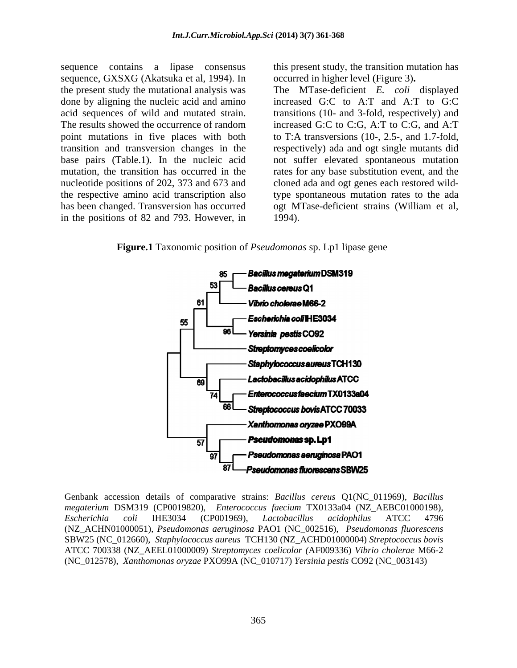sequence contains a lipase consensus sequence, GXSXG (Akatsuka et al, 1994). In done by aligning the nucleic acid and amino in the positions of 82 and 793. However, in 1994).

this present study, the transition mutation has occurred in higher level (Figure 3)**.**

the present study the mutational analysis was The MTase-deficient *E. coli* displayed acid sequences of wild and mutated strain. transitions (10- and 3-fold, respectively) and The results showed the occurrence of random increased G:C to C:G, A:T to C:G, and A:T point mutations in five places with both to T:A transversions (10-, 2.5-, and 1.7-fold, transition and transversion changes in the respectively) ada and ogt single mutants did base pairs (Table.1). In the nucleic acid not suffer elevated spontaneous mutation mutation, the transition has occurred in the rates for any base substitution event, and the nucleotide positions of 202, 373 and 673 and cloned ada and ogt genes each restored wildthe respective amino acid transcription also type spontaneous mutation rates to the ada has been changed. Transversion has occurred ogt MTase-deficient strains (William et al, increased G:C to A:T and A:T to G:C 1994).

**Figure.1** Taxonomic position of *Pseudomonas* sp. Lp1 lipase gene



Genbank accession details of comparative strains: *Bacillus cereus* Q1(NC\_011969), *Bacillus megaterium* DSM319 (CP0019820), *Enterococcus faecium* TX0133a04 (NZ\_AEBC01000198), *Escherichia coli* IHE3034 (CP001969), *Lactobacillus acidophilus* ATCC 4796 (NZ\_ACHN01000051), *Pseudomonas aeruginosa* PAO1 (NC\_002516), *Pseudomonas fluorescens* SBW25 (NC\_012660), *Staphylococcus aureus* TCH130 (NZ\_ACHD01000004) *Streptococcus bovis* ATCC 700338 (NZ\_AEEL01000009) *Streptomyces coelicolor (*AF009336) *Vibrio cholerae* M66-2 (NC\_012578), *Xanthomonas oryzae* PXO99A (NC\_010717) *Yersinia pestis* CO92 (NC\_003143)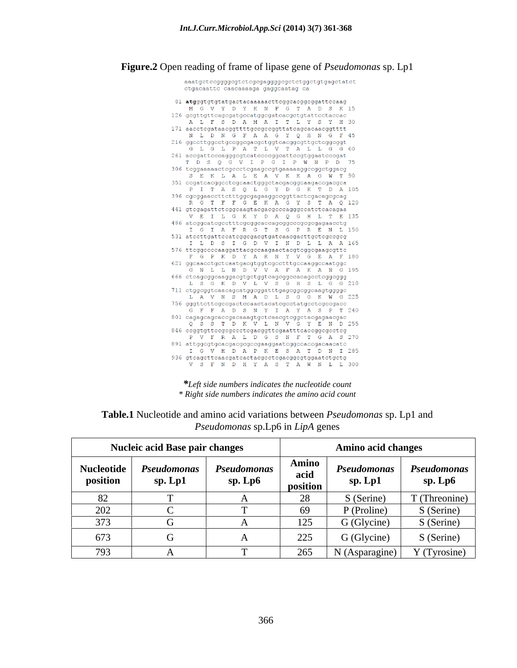**Figure.2** Open reading of frame of lipase gene of *Pseudomonas* sp. Lp1

aaatgctccggggcgtctcgcgaggggcgctctggctgtgagctatct ctgacaattc caacaaaaga gaggcaatag ca 81  $at$ gggtgtgtatgactacaaaaacttcggcacggcggattccaag M G V Y D Y K N F G T A D S K 15 126 gcgttgttcagcgatgccatggcgatcacgctgtattcctaccac A L F S D A M A I T L Y S Y H 30 171 aacctcgataacggttttgccgccggttatcagcacaacggtttt N L D N G F A A G Y Q H N G F 45 216 ggccttggcctgccggcgacgctggtcacggcgttgctcggcggt G L G L P A T L V T A L  $G = 60$  $L-G$ 261 accgattcccagggcgtcatccccggcattccgtggaatcccgat TDSQGVIPGIPWNPD 75 306 tcggaaaaactcgccctcgaagccgtgaaaaaggccggctggacg SEKLALEAVKKAGWT  $90$ 351 ccgatcacggcctcgcaactgggctacgacggcaagaccgacgca PITAS Q L G Y D G K T D A 105 396 cgcggaaccttctttggcgagaaggccggttactcgacagcgcag  $T$   $A$   $Q$  120 G T F F G E K A G Y S 441 gtcgagattctcggcaagtacgacgcccagggccatctcacagaa VEILGKYDAQ GHL TE135 486 atcggcatcgcctttcgcggcaccagcggcccgcgcgagaacctg I G I A F R G T S G P R E N L 150  $531\t\,atecttg at tccateggcgaqtga tcaacgacttgctcgccgcg$ I L D S I G D V I N D L L A A 165 576 ttcggccccaaggattacgccaagaactacgtcggcgaagcgttc G P K D Y A K N Y V G E A F 180 621 ggcaacctgctcaatgacgtggtcgcctttgccaaggccaatggc<br>
G N L L N D V V A F A K A N G 195 666 ctcagcggcaaggacgtgctggtcagcggccacagcctcggcggg L S G K D V L V S G H S L G G 210  $711\ ctggcggtcaacagcatggcggatttgagcggcggcaagtggggc$ L A V N S M A D L S G G K W G 225 756 gggttcttcgccgactccaactacatcgcctatgcctcgccgacc G F F A D S N Y I A Y A S P T 240 801 cagagcagcaccgacaaagtgctcaacgtcggctacgagaacgac<br>
Q S S T D K V L N V G Y E N D 255 846 ccggtgttccgcgccctcgacggttcgaatttcaccggcgcctcg PVFRALDGSNFTGAS270  $891\,$ attgg $c$ gtg $c$ acgacg $c$ gc $c$ gaaggaat $c$ ggc $c$ accgacaacat $c$ I G V H D A P K E S A T D N I 285  $936\,$ gtcagcttcaacgatcactacgcctcgacggcgtggaatctgctg V S F N D H Y A S T A W N L L 300

*\*Left side numbers indicates the nucleotide count \* Right side numbers indicates the amino acid count*

|                        | <b>Nucleic acid Base pair changes</b> |                               | <b>Amino acid changes</b> |                        |                        |
|------------------------|---------------------------------------|-------------------------------|---------------------------|------------------------|------------------------|
| Nucleotide<br>position | Pseudomonas<br>sp. Lp1                | <b>Pseudomonas</b><br>sp. Lp6 | Amino<br>acid<br>position | Pseudomonas<br>sp. Lp1 | Pseudomonas<br>sp. Lp6 |
|                        |                                       |                               | 28                        | S (Serine)             | T (Threonine)          |
| 202                    |                                       |                               | 69                        | (Proline)              | S (Serine)             |
| 27<br>ں ر ر            |                                       |                               | 125                       | G (Glycine)            | S (Serine)             |
| 673                    |                                       |                               | 225                       | G (Glycine)            | S (Serine)             |
| 793                    |                                       |                               | 265                       | $N(Asparagine)$        | Y (Tyrosine)           |

**Table.1** Nucleotide and amino acid variations between *Pseudomonas* sp. Lp1 and *Pseudomonas* sp.Lp6 in *LipA* genes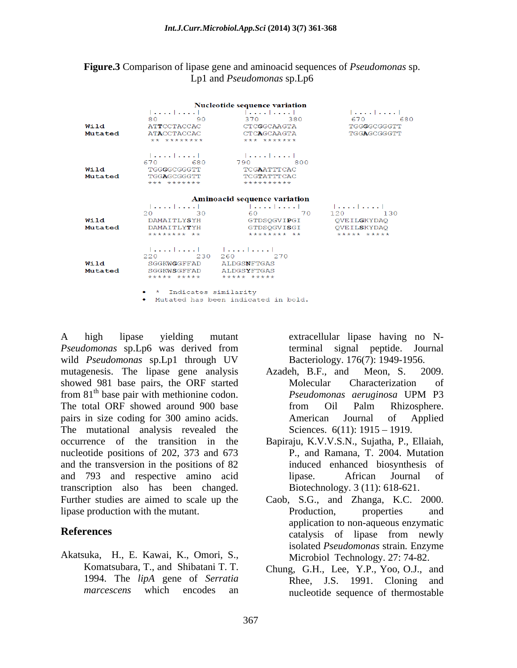### **Figure.3** Comparison of lipase gene and aminoacid sequences of *Pseudomonas* sp. Lp1 and *Pseudomonas* sp.Lp6

|                 |                                                                     | Nucleotide sequence variation                                               |                                                           |
|-----------------|---------------------------------------------------------------------|-----------------------------------------------------------------------------|-----------------------------------------------------------|
| Wild<br>Mutated | 80<br>90<br><b>ATTCCTACCAC</b><br><b>ATACCTACCAC</b><br>** ******** | $    $ $   $<br>370 380<br>CTCGGCAAGTA<br><b>CTCAGCAAGTA</b><br>*** ******* | 1. 1. 1<br>670 — 100<br>680<br>TGGGGCGGGTT<br>TGGAGCGGGTT |
| Wild<br>Mutated | <br>670 680<br>TGGGGCGGGTT<br>TGGAGCGGGTT<br>*** *******            | 790 800<br><b>TCGAATTTCAC</b><br>TCGTATTTCAC<br>**********                  |                                                           |
|                 |                                                                     | <b>Aminoacid sequence variation</b>                                         |                                                           |
| Wild<br>Mutated | 30<br>$20 -$<br>DAMAITLYSYH<br>DAMAITLYTYH<br>******** **           | 60 70<br>GTDSQGVIPGI QVEILGKYDAQ<br>GTDSOGVISGI OVEILSKYDAO<br>******** **  | 120 130<br>***** *****                                    |
| Wild<br>Mutated | 220 230 260<br>SGGKWGGFFAD<br>SGGKWSGFFAD<br>***** *****            | $    $ $     $<br>270<br>ALDGSNFTGAS<br>ALDGSYFTGAS<br>***** *****          |                                                           |
|                 | • * Indicates similarity                                            | . Mutated has been indicated in bold.                                       |                                                           |

A high lipase yielding mutant extracellular lipase having no N-*Pseudomonas* sp.Lp6 was derived from wild *Pseudomonas* sp.Lp1 through UV mutagenesis. The lipase gene analysis Azadeh, B.F., and Meon, S. 2009. showed 981 base pairs, the ORF started Molecular Characterization of from 81<sup>th</sup> base pair with methionine codon. *Pseudomonas aeruginosa* UPM P3 The total ORF showed around 900 base from Oil Palm Rhizosphere. pairs in size coding for 300 amino acids. American Journal of Applied The mutational analysis revealed the occurrence of the transition in the Bapiraju, K.V.V.S.N., Sujatha, P., Ellaiah, nucleotide positions of 202, 373 and 673 and the transversion in the positions of 82 and 793 and respective amino acid transcription also has been changed. Further studies are aimed to scale up the Caob, S.G., and Zhanga, K.C. 2000. lipase production with the mutant.

Akatsuka, H., E. Kawai, K., Omori, S., Komatsubara, T., and Shibatani T. T. Chung, G.H., Lee, Y.P., Yoo, O.J., and 1994. The *lipA* gene of *Serratia* 

terminal signal peptide. Bacteriology. 176(7): 1949-1956.

- Azadeh, B.F., and Meon, S. 2009. Molecular Characterization of *Pseudomonas aeruginosa* UPM P3 from Oil Palm Rhizosphere. American Journal of Applied Sciences.  $6(11)$ : 1915 – 1919.
- P., and Ramana, T. 2004. Mutation induced enhanced biosynthesis of lipase. African Journal of Biotechnology. 3 (11): 618-621.
- **References CONFIDENTIFY CONFIDENT CONFIDENT CONFIDENT CONFIDENT CONFIDENT CONFIDENT CONFIDENT CONFIDENT CONFIDENT CONFIDENT CONFIDENT CONFIDENT CONFIDENT CONFIDENT CONFIDENT CONFIDENT C** Production, properties and application to non-aqueous enzymatic isolated *Pseudomonas* strain*.* Enzyme Microbiol Technology. 27: 74-82.
	- marcescens which encodes an mucleotide sequence of thermostable Rhee, J.S. 1991. Cloning and